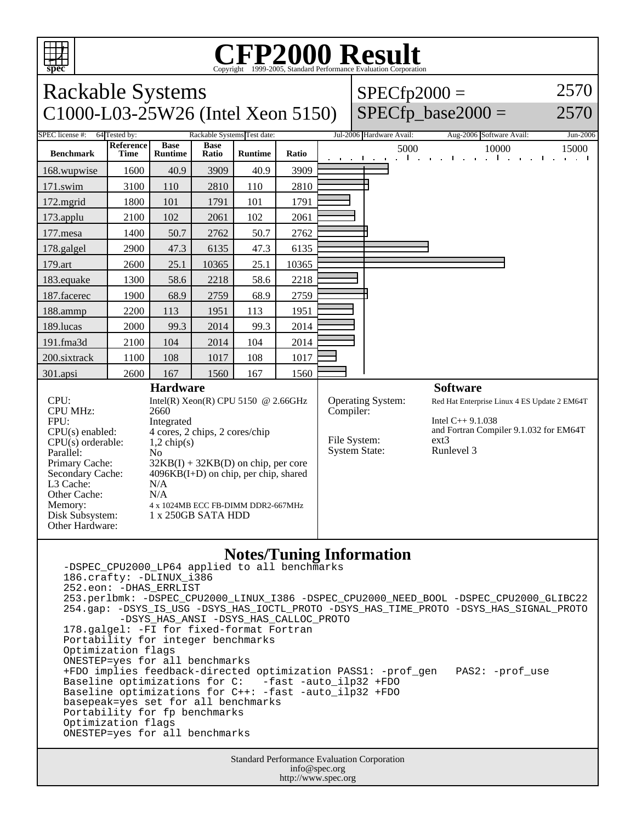

## **CFP2000 Result** Copyright ©1999-2005, Standard Performance Evaluation Corporation

| <b>Rackable Systems</b>                                                                                                                                                                                    |                          |                                                                                                                                                                                                                                                                                              |                      |                |                   |  | $SPECfp2000 =$                                                                |                          |  |                                                                                                                                            |       | 2570                 |
|------------------------------------------------------------------------------------------------------------------------------------------------------------------------------------------------------------|--------------------------|----------------------------------------------------------------------------------------------------------------------------------------------------------------------------------------------------------------------------------------------------------------------------------------------|----------------------|----------------|-------------------|--|-------------------------------------------------------------------------------|--------------------------|--|--------------------------------------------------------------------------------------------------------------------------------------------|-------|----------------------|
| C1000-L03-25W26 (Intel Xeon 5150)                                                                                                                                                                          |                          |                                                                                                                                                                                                                                                                                              |                      |                | SPECfp_base2000 = |  | 2570                                                                          |                          |  |                                                                                                                                            |       |                      |
| SPEC license #:<br>64 Tested by:<br>Rackable Systems Test date:                                                                                                                                            |                          |                                                                                                                                                                                                                                                                                              |                      |                |                   |  |                                                                               | Jul-2006 Hardware Avail: |  | Aug-2006 Software Avail:                                                                                                                   |       | Jun-2006             |
| <b>Benchmark</b>                                                                                                                                                                                           | Reference<br><b>Time</b> | <b>Base</b><br><b>Runtime</b>                                                                                                                                                                                                                                                                | <b>Base</b><br>Ratio | <b>Runtime</b> | Ratio             |  |                                                                               | 5000<br>т.               |  | and a state of the state of the<br>$\blacksquare$                                                                                          | 10000 | 15000<br>and a state |
| 168.wupwise                                                                                                                                                                                                | 1600                     | 40.9                                                                                                                                                                                                                                                                                         | 3909                 | 40.9           | 3909              |  |                                                                               |                          |  |                                                                                                                                            |       |                      |
| 171.swim                                                                                                                                                                                                   | 3100                     | 110                                                                                                                                                                                                                                                                                          | 2810                 | 110            | 2810              |  |                                                                               |                          |  |                                                                                                                                            |       |                      |
| 172.mgrid                                                                                                                                                                                                  | 1800                     | 101                                                                                                                                                                                                                                                                                          | 1791                 | 101            | 1791              |  |                                                                               |                          |  |                                                                                                                                            |       |                      |
| 173.applu                                                                                                                                                                                                  | 2100                     | 102                                                                                                                                                                                                                                                                                          | 2061                 | 102            | 2061              |  |                                                                               |                          |  |                                                                                                                                            |       |                      |
| 177.mesa                                                                                                                                                                                                   | 1400                     | 50.7                                                                                                                                                                                                                                                                                         | 2762                 | 50.7           | 2762              |  |                                                                               |                          |  |                                                                                                                                            |       |                      |
| 178.galgel                                                                                                                                                                                                 | 2900                     | 47.3                                                                                                                                                                                                                                                                                         | 6135                 | 47.3           | 6135              |  |                                                                               |                          |  |                                                                                                                                            |       |                      |
| 179.art                                                                                                                                                                                                    | 2600                     | 25.1                                                                                                                                                                                                                                                                                         | 10365                | 25.1           | 10365             |  |                                                                               |                          |  |                                                                                                                                            |       |                      |
| 183.equake                                                                                                                                                                                                 | 1300                     | 58.6                                                                                                                                                                                                                                                                                         | 2218                 | 58.6           | 2218              |  |                                                                               |                          |  |                                                                                                                                            |       |                      |
| 187.facerec                                                                                                                                                                                                | 1900                     | 68.9                                                                                                                                                                                                                                                                                         | 2759                 | 68.9           | 2759              |  |                                                                               |                          |  |                                                                                                                                            |       |                      |
| 188.ammp                                                                                                                                                                                                   | 2200                     | 113                                                                                                                                                                                                                                                                                          | 1951                 | 113            | 1951              |  |                                                                               |                          |  |                                                                                                                                            |       |                      |
| 189.lucas                                                                                                                                                                                                  | 2000                     | 99.3                                                                                                                                                                                                                                                                                         | 2014                 | 99.3           | 2014              |  |                                                                               |                          |  |                                                                                                                                            |       |                      |
| 191.fma3d                                                                                                                                                                                                  | 2100                     | 104                                                                                                                                                                                                                                                                                          | 2014                 | 104            | 2014              |  |                                                                               |                          |  |                                                                                                                                            |       |                      |
| 200.sixtrack                                                                                                                                                                                               | 1100                     | 108                                                                                                                                                                                                                                                                                          | 1017                 | 108            | 1017              |  |                                                                               |                          |  |                                                                                                                                            |       |                      |
| 301.apsi                                                                                                                                                                                                   | 2600                     | 167                                                                                                                                                                                                                                                                                          | 1560                 | 167            | 1560              |  |                                                                               |                          |  |                                                                                                                                            |       |                      |
|                                                                                                                                                                                                            |                          |                                                                                                                                                                                                                                                                                              |                      |                | <b>Software</b>   |  |                                                                               |                          |  |                                                                                                                                            |       |                      |
| CPU:<br><b>CPU MHz:</b><br>FPU:<br>$CPU(s)$ enabled:<br>CPU(s) orderable:<br>Parallel:<br>Primary Cache:<br>Secondary Cache:<br>L3 Cache:<br>Other Cache:<br>Memory:<br>Disk Subsystem:<br>Other Hardware: |                          | Intel(R) Xeon(R) CPU 5150 @ 2.66GHz<br>2660<br>Integrated<br>4 cores, 2 chips, 2 cores/chip<br>$1,2$ chip(s)<br>N <sub>0</sub><br>$32KB(I) + 32KB(D)$ on chip, per core<br>$4096KB(I+D)$ on chip, per chip, shared<br>N/A<br>N/A<br>4 x 1024MB ECC FB-DIMM DDR2-667MHz<br>1 x 250GB SATA HDD |                      |                |                   |  | <b>Operating System:</b><br>Compiler:<br>File System:<br><b>System State:</b> |                          |  | Red Hat Enterprise Linux 4 ES Update 2 EM64T<br>Intel $C_{++}$ 9.1.038<br>and Fortran Compiler 9.1.032 for EM64T<br>$ext{3}$<br>Runlevel 3 |       |                      |

## **Notes/Tuning Information**

-DSPEC CPU2000 LP64 applied to all benchmarks 186.crafty: -DLINUX\_i386 252.eon: -DHAS\_ERRLIST 253.perlbmk: -DSPEC\_CPU2000\_LINUX\_I386 -DSPEC\_CPU2000\_NEED\_BOOL -DSPEC\_CPU2000\_GLIBC22 254.gap: -DSYS\_IS\_USG -DSYS\_HAS\_IOCTL\_PROTO -DSYS\_HAS\_TIME\_PROTO -DSYS\_HAS\_SIGNAL\_PROTO -DSYS\_HAS\_ANSI -DSYS\_HAS\_CALLOC\_PROTO 178.galgel: -FI for fixed-format Fortran Portability for integer benchmarks Optimization flags ONESTEP=yes for all benchmarks +FDO implies feedback-directed optimization PASS1: -prof\_gen PAS2: -prof\_use Baseline optimizations for C: -fast -auto\_ilp32 +FDO Baseline optimizations for C++: -fast -auto\_ilp32 +FDO basepeak=yes set for all benchmarks Portability for fp benchmarks Optimization flags ONESTEP=yes for all benchmarks

> Standard Performance Evaluation Corporation info@spec.org http://www.spec.org